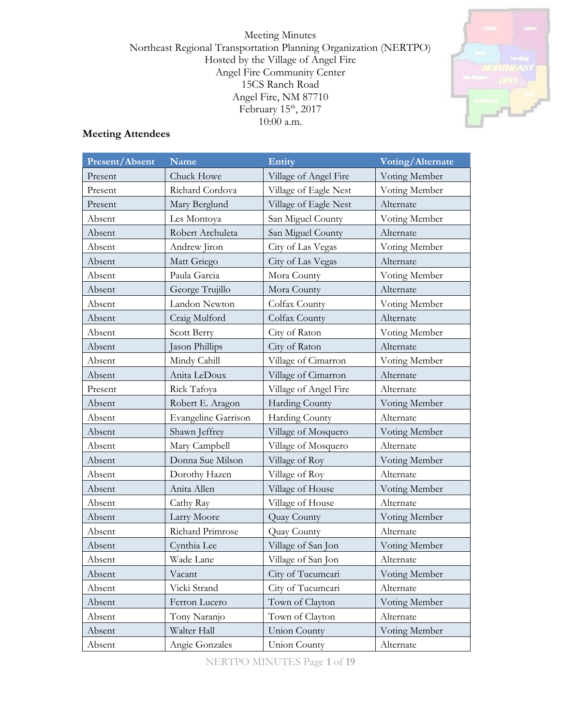Meeting Minutes Northeast Regional Transportation Planning Organization (NERTPO) Hosted by the Village of Angel Fire Angel Fire Community Center 15CS Ranch Road Angel Fire, NM 87710 February  $15<sup>th</sup>$ , 2017 10:00 a.m.



# **Meeting Attendees**

| Present/Absent | <b>Name</b>         | <b>Entity</b>         | Voting/Alternate |
|----------------|---------------------|-----------------------|------------------|
| Present        | Chuck Howe          | Village of Angel Fire | Voting Member    |
| Present        | Richard Cordova     | Village of Eagle Nest | Voting Member    |
| Present        | Mary Berglund       | Village of Eagle Nest | Alternate        |
| Absent         | Les Montoya         | San Miguel County     | Voting Member    |
| Absent         | Robert Archuleta    | San Miguel County     | Alternate        |
| Absent         | Andrew Jiron        | City of Las Vegas     | Voting Member    |
| Absent         | Matt Griego         | City of Las Vegas     | Alternate        |
| Absent         | Paula Garcia        | Mora County           | Voting Member    |
| Absent         | George Trujillo     | Mora County           | Alternate        |
| Absent         | Landon Newton       | Colfax County         | Voting Member    |
| Absent         | Craig Mulford       | Colfax County         | Alternate        |
| Absent         | Scott Berry         | City of Raton         | Voting Member    |
| Absent         | Jason Phillips      | City of Raton         | Alternate        |
| Absent         | Mindy Cahill        | Village of Cimarron   | Voting Member    |
| Absent         | Anita LeDoux        | Village of Cimarron   | Alternate        |
| Present        | Rick Tafoya         | Village of Angel Fire | Alternate        |
| Absent         | Robert E. Aragon    | <b>Harding County</b> | Voting Member    |
| Absent         | Evangeline Garrison | Harding County        | Alternate        |
| Absent         | Shawn Jeffrey       | Village of Mosquero   | Voting Member    |
| Absent         | Mary Campbell       | Village of Mosquero   | Alternate        |
| Absent         | Donna Sue Milson    | Village of Roy        | Voting Member    |
| Absent         | Dorothy Hazen       | Village of Roy        | Alternate        |
| Absent         | Anita Allen         | Village of House      | Voting Member    |
| Absent         | Cathy Ray           | Village of House      | Alternate        |
| Absent         | Larry Moore         | Quay County           | Voting Member    |
| Absent         | Richard Primrose    | Quay County           | Alternate        |
| Absent         | Cynthia Lee         | Village of San Jon    | Voting Member    |
| Absent         | Wade Lane           | Village of San Jon    | Alternate        |
| Absent         | Vacant              | City of Tucumcari     | Voting Member    |
| Absent         | Vicki Strand        | City of Tucumcari     | Alternate        |
| Absent         | Ferron Lucero       | Town of Clayton       | Voting Member    |
| Absent         | Tony Naranjo        | Town of Clayton       | Alternate        |
| Absent         | Walter Hall         | Union County          | Voting Member    |
| Absent         | Angie Gonzales      | Union County          | Alternate        |

NERTPO MINUTES Page **1** of **19**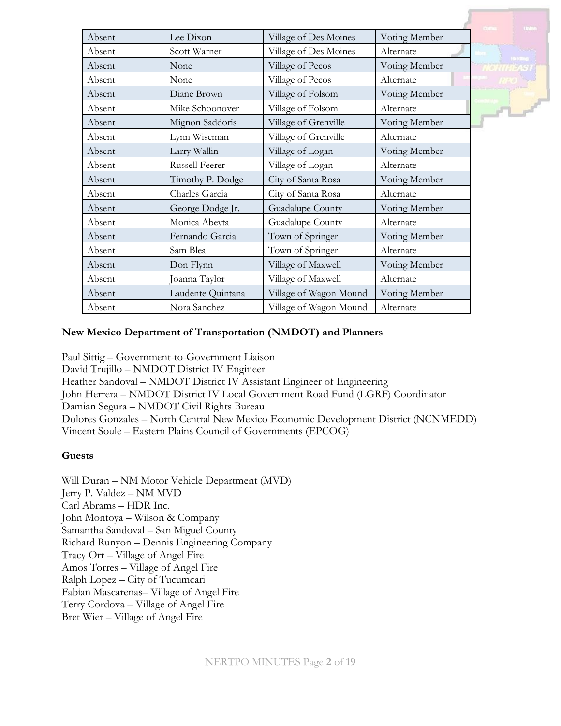|        |                       |                        |               | <b>United</b> |
|--------|-----------------------|------------------------|---------------|---------------|
| Absent | Lee Dixon             | Village of Des Moines  | Voting Member |               |
| Absent | Scott Warner          | Village of Des Moines  | Alternate     | <b>Thomas</b> |
| Absent | None                  | Village of Pecos       | Voting Member |               |
| Absent | None                  | Village of Pecos       | Alternate     |               |
| Absent | Diane Brown           | Village of Folsom      | Voting Member |               |
| Absent | Mike Schoonover       | Village of Folsom      | Alternate     | $-1$          |
| Absent | Mignon Saddoris       | Village of Grenville   | Voting Member |               |
| Absent | Lynn Wiseman          | Village of Grenville   | Alternate     |               |
| Absent | Larry Wallin          | Village of Logan       | Voting Member |               |
| Absent | <b>Russell Feerer</b> | Village of Logan       | Alternate     |               |
| Absent | Timothy P. Dodge      | City of Santa Rosa     | Voting Member |               |
| Absent | Charles Garcia        | City of Santa Rosa     | Alternate     |               |
| Absent | George Dodge Jr.      | Guadalupe County       | Voting Member |               |
| Absent | Monica Abeyta         | Guadalupe County       | Alternate     |               |
| Absent | Fernando Garcia       | Town of Springer       | Voting Member |               |
| Absent | Sam Blea              | Town of Springer       | Alternate     |               |
| Absent | Don Flynn             | Village of Maxwell     | Voting Member |               |
| Absent | Joanna Taylor         | Village of Maxwell     | Alternate     |               |
| Absent | Laudente Quintana     | Village of Wagon Mound | Voting Member |               |
| Absent | Nora Sanchez          | Village of Wagon Mound | Alternate     |               |

## **New Mexico Department of Transportation (NMDOT) and Planners**

Paul Sittig – Government-to-Government Liaison David Trujillo – NMDOT District IV Engineer Heather Sandoval – NMDOT District IV Assistant Engineer of Engineering John Herrera – NMDOT District IV Local Government Road Fund (LGRF) Coordinator Damian Segura – NMDOT Civil Rights Bureau Dolores Gonzales – North Central New Mexico Economic Development District (NCNMEDD) Vincent Soule – Eastern Plains Council of Governments (EPCOG)

### **Guests**

Will Duran – NM Motor Vehicle Department (MVD) Jerry P. Valdez – NM MVD Carl Abrams – HDR Inc. John Montoya – Wilson & Company Samantha Sandoval – San Miguel County Richard Runyon – Dennis Engineering Company Tracy Orr – Village of Angel Fire Amos Torres – Village of Angel Fire Ralph Lopez – City of Tucumcari Fabian Mascarenas– Village of Angel Fire Terry Cordova – Village of Angel Fire Bret Wier – Village of Angel Fire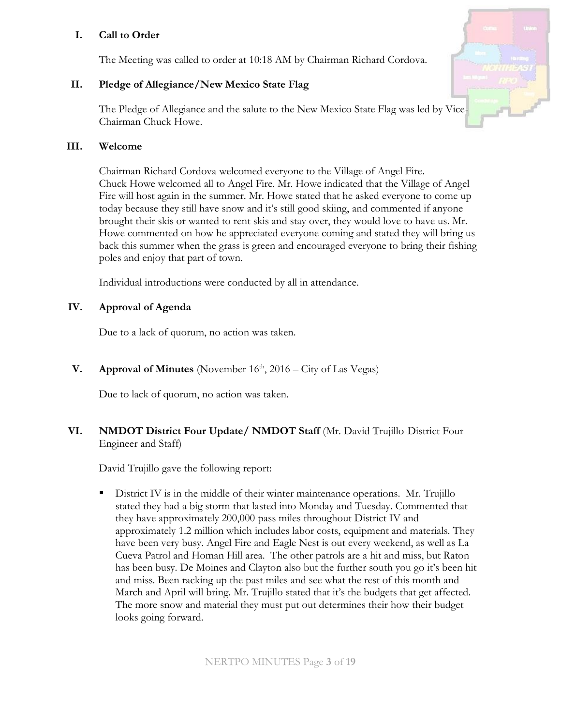# **I. Call to Order**

The Meeting was called to order at 10:18 AM by Chairman Richard Cordova.

# **II. Pledge of Allegiance/New Mexico State Flag**

The Pledge of Allegiance and the salute to the New Mexico State Flag was led by Vice-Chairman Chuck Howe.

### **III. Welcome**

Chairman Richard Cordova welcomed everyone to the Village of Angel Fire. Chuck Howe welcomed all to Angel Fire. Mr. Howe indicated that the Village of Angel Fire will host again in the summer. Mr. Howe stated that he asked everyone to come up today because they still have snow and it's still good skiing, and commented if anyone brought their skis or wanted to rent skis and stay over, they would love to have us. Mr. Howe commented on how he appreciated everyone coming and stated they will bring us back this summer when the grass is green and encouraged everyone to bring their fishing poles and enjoy that part of town.

Individual introductions were conducted by all in attendance.

## **IV. Approval of Agenda**

Due to a lack of quorum, no action was taken.

**V. Approval of Minutes** (November  $16<sup>th</sup>$ , 2016 – City of Las Vegas)

Due to lack of quorum, no action was taken.

## **VI. NMDOT District Four Update/ NMDOT Staff** (Mr. David Trujillo-District Four Engineer and Staff)

David Trujillo gave the following report:

**EXECUTE:** District IV is in the middle of their winter maintenance operations. Mr. Trujillo stated they had a big storm that lasted into Monday and Tuesday. Commented that they have approximately 200,000 pass miles throughout District IV and approximately 1.2 million which includes labor costs, equipment and materials. They have been very busy. Angel Fire and Eagle Nest is out every weekend, as well as La Cueva Patrol and Homan Hill area. The other patrols are a hit and miss, but Raton has been busy. De Moines and Clayton also but the further south you go it's been hit and miss. Been racking up the past miles and see what the rest of this month and March and April will bring. Mr. Trujillo stated that it's the budgets that get affected. The more snow and material they must put out determines their how their budget looks going forward.

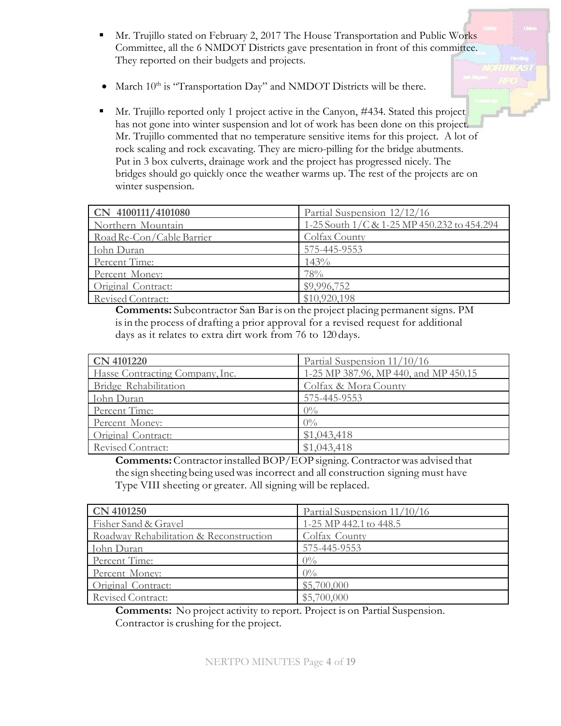- **EXECUTE:** Mr. Trujillo stated on February 2, 2017 The House Transportation and Public Works Committee, all the 6 NMDOT Districts gave presentation in front of this committee. They reported on their budgets and projects.
- March  $10^{\text{th}}$  is "Transportation Day" and NMDOT Districts will be there.
- Mr. Trujillo reported only 1 project active in the Canyon, #434. Stated this project has not gone into winter suspension and lot of work has been done on this project. Mr. Trujillo commented that no temperature sensitive items for this project. A lot of rock scaling and rock excavating. They are micro-pilling for the bridge abutments. Put in 3 box culverts, drainage work and the project has progressed nicely. The bridges should go quickly once the weather warms up. The rest of the projects are on winter suspension.

| CN 4100111/4101080        | Partial Suspension 12/12/16                 |
|---------------------------|---------------------------------------------|
| Northern Mountain         | 1-25 South 1/C & 1-25 MP 450.232 to 454.294 |
| Road Re-Con/Cable Barrier | Colfax County                               |
| John Duran                | 575-445-9553                                |
| Percent Time:             | 143%                                        |
| Percent Money:            | 78%                                         |
| Original Contract:        | \$9,996,752                                 |
| <b>Revised Contract:</b>  | \$10,920,198                                |

**Comments:** Subcontractor San Bar is on the project placing permanent signs. PM isin the process of drafting a prior approval for a revised request for additional days as it relates to extra dirt work from 76 to 120 days.

| <b>CN 4101220</b>               | Partial Suspension 11/10/16           |
|---------------------------------|---------------------------------------|
| Hasse Contracting Company, Inc. | 1-25 MP 387.96, MP 440, and MP 450.15 |
| Bridge Rehabilitation           | Colfax & Mora County                  |
| John Duran                      | 575-445-9553                          |
| Percent Time:                   | $0\%$                                 |
| Percent Money:                  | $0\%$                                 |
| Original Contract:              | \$1,043,418                           |
| <b>Revised Contract:</b>        | \$1,043,418                           |

**Comments:**Contractorinstalled BOP/EOP signing. Contractorwas advised that the sign sheeting being usedwas incorrect and all construction signing must have Type VIII sheeting or greater. All signing will be replaced.

| <b>CN 4101250</b>                       | Partial Suspension 11/10/16 |
|-----------------------------------------|-----------------------------|
| Fisher Sand & Gravel                    | 1-25 MP 442.1 to 448.5      |
| Roadway Rehabilitation & Reconstruction | Colfax County               |
| John Duran                              | 575-445-9553                |
| Percent Time:                           | $0\%$                       |
| Percent Money:                          | $0\%$                       |
| Original Contract:                      | \$5,700,000                 |
| Revised Contract:                       | \$5,700,000                 |

**Comments:** No project activity to report. Project is on Partial Suspension. Contractor is crushing for the project.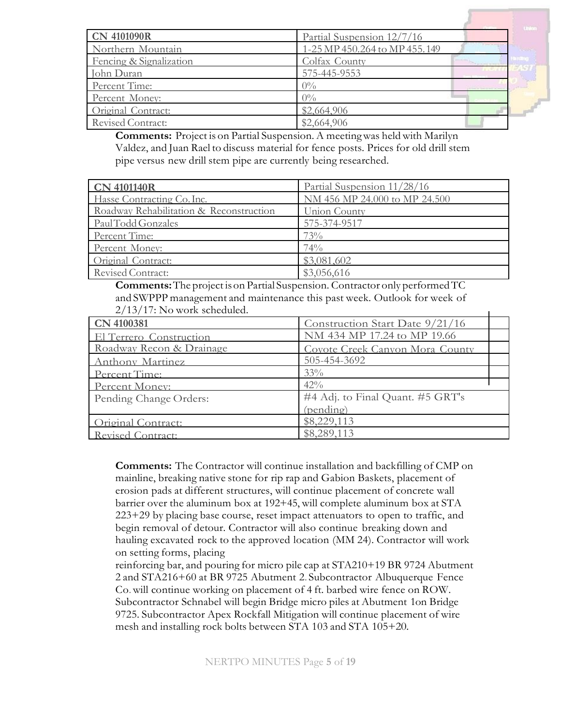| <b>CN 4101090R</b>       | Partial Suspension 12/7/16    |                |
|--------------------------|-------------------------------|----------------|
| Northern Mountain        | 1-25 MP 450.264 to MP 455.149 | <b>Mariana</b> |
| Fencing & Signalization  | Colfax County                 |                |
| John Duran               | 575-445-9553                  |                |
| Percent Time:            | $0\%$                         |                |
| Percent Money:           | $0\%$                         |                |
| Original Contract:       | \$2,664,906                   |                |
| <b>Revised Contract:</b> | \$2,664,906                   |                |

**Comments:** Project is on Partial Suspension. A meetingwas heldwith Marilyn Valdez, and Juan Rael to discuss material for fence posts. Prices for old drill stem pipe versus new drill stem pipe are currently being researched.

| <b>CN 4101140R</b>                      | Partial Suspension 11/28/16   |
|-----------------------------------------|-------------------------------|
| Hasse Contracting Co. Inc.              | NM 456 MP 24.000 to MP 24.500 |
| Roadway Rehabilitation & Reconstruction | Union County                  |
| PaulTodd Gonzales                       | 575-374-9517                  |
| Percent Time:                           | 73%                           |
| Percent Money:                          | 74%                           |
| Original Contract:                      | \$3,081,602                   |
| Revised Contract:                       | \$3,056,616                   |

**Comments:** The project is on Partial Suspension. Contractor only performed TC and SWPPP management and maintenance this past week. Outlook for week of 2/13/17: No work scheduled.

| $2/13/1$ : No work scheduled. |                                  |
|-------------------------------|----------------------------------|
| CN 4100381                    | Construction Start Date 9/21/16  |
| El Terrero Construction       | NM 434 MP 17.24 to MP 19.66      |
| Roadway Recon & Drainage      | Covote Creek Canyon Mora County  |
| Anthony Martinez              | 505-454-3692                     |
| Percent Time:                 | 33%                              |
| Percent Money:                | $42\%$                           |
| Pending Change Orders:        | #4 Adj. to Final Quant. #5 GRT's |
|                               | (pending)                        |
| Original Contract:            | \$8,229,113                      |
| Revised Contract:             | \$8,289,113                      |

**Comments:** The Contractor will continue installation and backfilling of CMP on mainline, breaking native stone for rip rap and Gabion Baskets, placement of erosion pads at different structures, will continue placement of concrete wall barrier over the aluminum box at 192+45, will complete aluminum box at STA 223+29 by placing base course, reset impact attenuators to open to traffic, and begin removal of detour. Contractor will also continue breaking down and hauling excavated rock to the approved location (MM 24). Contractor will work on setting forms, placing

reinforcing bar, and pouring for micro pile cap at STA210+19 BR 9724 Abutment 2 and STA216+60 at BR 9725 Abutment 2. Subcontractor Albuquerque Fence Co.will continue working on placement of 4 ft. barbed wire fence on ROW. Subcontractor Schnabel will begin Bridge micro piles at Abutment 1on Bridge 9725. Subcontractor Apex Rockfall Mitigation will continue placement of wire mesh and installing rock bolts between STA 103 and STA 105+20.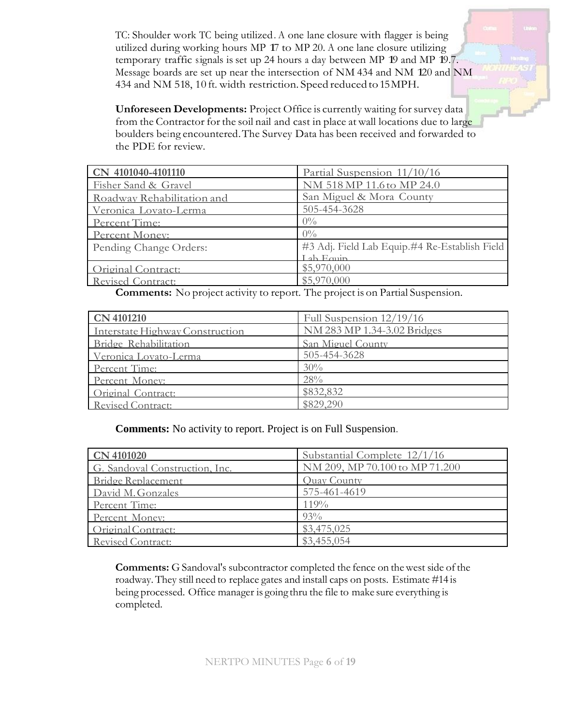TC: Shoulder work TC being utilized.A one lane closure with flagger is being utilized during working hours MP 17 to MP 20. <sup>A</sup> one lane closure utilizing temporary traffic signals is set up <sup>24</sup> hours <sup>a</sup> day between MP 19 and MP 19.7. Message boards are set up near the intersection of NM <sup>434</sup> and NM 120 and NM 434 and NM 518, 10 ft. width restriction. Speed reduced to15MPH.

**Unforeseen Developments:** Project Office is currently waiting for survey data from the Contractor for the soil nail and cast in place at wall locations due to large boulders being encountered.The Survey Data has been received and forwarded to the PDE for review.

| CN 4101040-4101110         | Partial Suspension 11/10/16                   |
|----------------------------|-----------------------------------------------|
| Fisher Sand & Gravel       | NM 518 MP 11.6 to MP 24.0                     |
| Roadway Rehabilitation and | San Miguel & Mora County                      |
| Veronica Lovato-Lerma      | 505-454-3628                                  |
| Percent Time:              | $0\%$                                         |
| Percent Money:             | $0\%$                                         |
| Pending Change Orders:     | #3 Adj. Field Lab Equip.#4 Re-Establish Field |
|                            | Lah Equip                                     |
| Original Contract:         | \$5,970,000                                   |
| Revised Contract:          | \$5,970,000                                   |

**Comments:** No project activity to report. The project is on Partial Suspension.

| <b>CN 4101210</b>               | Full Suspension 12/19/16    |
|---------------------------------|-----------------------------|
| Interstate Highway Construction | NM 283 MP 1.34-3.02 Bridges |
| Bridge Rehabilitation           | San Miguel County           |
| Veronica Lovato-Lerma           | 505-454-3628                |
| Percent Time:                   | 30%                         |
| Percent Money:                  | 28%                         |
| Original Contract:              | \$832,832                   |
| Revised Contract:               | \$829,290                   |

**Comments:** No activity to report. Project is on Full Suspension.

| <b>CN 4101020</b>              | Substantial Complete 12/1/16   |
|--------------------------------|--------------------------------|
| G. Sandoval Construction, Inc. | NM 209, MP 70.100 to MP 71.200 |
| Bridge Replacement             | Quay County                    |
| David M. Gonzales              | 575-461-4619                   |
| Percent Time:                  | 119%                           |
| Percent Money:                 | $93\%$                         |
| Original Contract:             | \$3,475,025                    |
| <b>Revised Contract:</b>       | \$3,455,054                    |

**Comments:** G Sandoval's subcontractor completed the fence on thewest side of the roadway. They still need to replace gates and install caps on posts. Estimate #14 is being processed. Office manager is going thru the file to make sure everything is completed.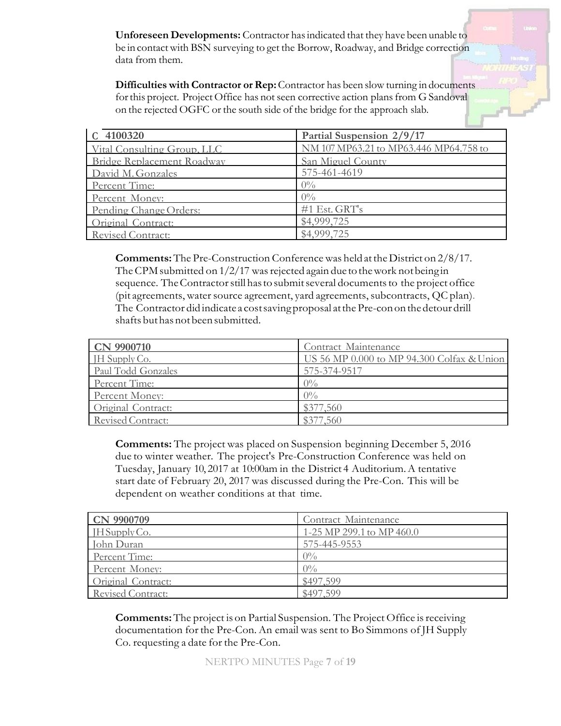**Unforeseen Developments:** Contractor hasindicated that they have been unable to be in contact with BSN surveying to get the Borrow, Roadway, and Bridge correction data from them.

**Difficulties with Contractor or Rep:**Contractor has been slowturning in documents for this project. Project Office has not seen corrective action plans from G Sandoval on the rejected OGFC or the south side of the bridge for the approach slab.

| C 4100320                   | Partial Suspension 2/9/17              |
|-----------------------------|----------------------------------------|
| Vital Consulting Group, LLC | NM 107 MP63.21 to MP63.446 MP64.758 to |
| Bridge Replacement Roadway  | San Miguel County                      |
| David M. Gonzales           | 575-461-4619                           |
| Percent Time:               | $0\%$                                  |
| Percent Money:              | $0\%$                                  |
| Pending Change Orders:      | $#1$ Est. GRT's                        |
| Original Contract:          | \$4,999,725                            |
| Revised Contract:           | \$4,999,725                            |

**Comments:** The Pre-Construction Conference was held at the District on 2/8/17. The CPM submitted on  $1/2/17$  was rejected again due to the work not being in sequence. The Contractor still has to submit several documents to the project office (pit agreements, water source agreement, yard agreements, subcontracts,  $QC$  plan). The Contractor did indicate a costsavingproposal atthe Pre-conon thedetour drill shafts but has not been submitted.

| <b>CN 9900710</b>  | Contract Maintenance                       |
|--------------------|--------------------------------------------|
| JH Supply Co.      | US 56 MP 0.000 to MP 94.300 Colfax & Union |
| Paul Todd Gonzales | 575-374-9517                               |
| Percent Time:      | $0\%$                                      |
| Percent Money:     | $0\%$                                      |
| Original Contract: | \$377,560                                  |
| Revised Contract:  | \$377,560                                  |

**Comments:** The project was placed on Suspension beginning December 5, 2016 due to winter weather. The project's Pre-Construction Conference was held on Tuesday, January 10, 2017 at 10:00am in the District 4 Auditorium.A tentative start date of February 20, 2017 was discussed during the Pre-Con. This will be dependent on weather conditions at that time.

| <b>CN 9900709</b>  | Contract Maintenance      |
|--------------------|---------------------------|
| $H$ Supply Co.     | 1-25 MP 299.1 to MP 460.0 |
| John Duran         | 575-445-9553              |
| Percent Time:      | $0\%$                     |
| Percent Money:     | $0\%$                     |
| Original Contract: | \$497,599                 |
| Revised Contract:  | \$497 599                 |

**Comments:** The project is on Partial Suspension. The Project Office is receiving documentation for the Pre-Con. An email was sent to Bo Simmons of JH Supply Co. requesting a date for the Pre-Con.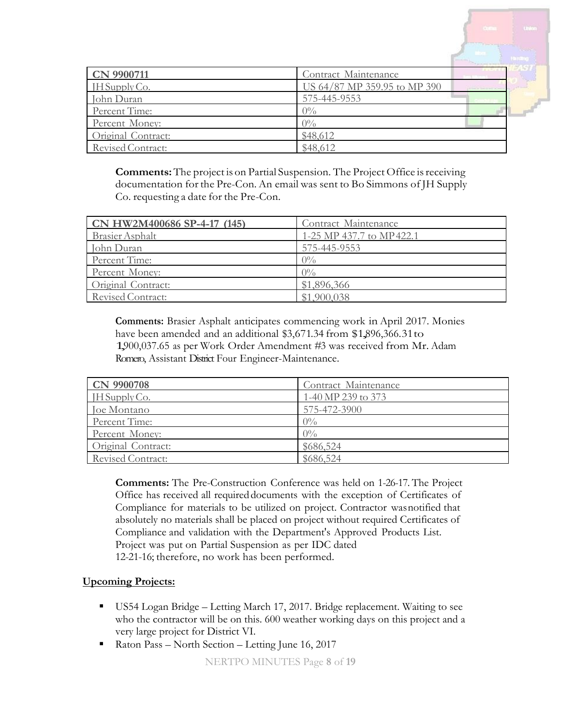| <b>CN 9900711</b>  | Contract Maintenance         |                                   |  |
|--------------------|------------------------------|-----------------------------------|--|
| $H$ Supply Co.     | US 64/87 MP 359.95 to MP 390 | <b>Contract Contract Contract</b> |  |
| John Duran         | 575-445-9553                 |                                   |  |
| Percent Time:      | $0\%$                        |                                   |  |
| Percent Money:     | $0\%$                        |                                   |  |
| Original Contract: | \$48,612                     |                                   |  |
| Revised Contract:  | \$48,612                     |                                   |  |

**Comments:** The project is on Partial Suspension. The Project Office is receiving documentation for the Pre-Con. An email was sent to Bo Simmons of JH Supply Co. requesting a date for the Pre-Con.

| CN HW2M400686 SP-4-17 (145) | Contract Maintenance      |
|-----------------------------|---------------------------|
| <b>Brasier</b> Asphalt      | 1-25 MP 437.7 to MP 422.1 |
| John Duran                  | 575-445-9553              |
| Percent Time:               | $0\%$                     |
| Percent Money:              | $0\%$                     |
| Original Contract:          | \$1,896,366               |
| Revised Contract:           | \$1.900.038               |

**Comments:** Brasier Asphalt anticipates commencing work in April 2017. Monies have been amended and an additional \$3,671.34 from \$1,896,366.31 to 1,900,037.65 as per Work Order Amendment #3 was received from Mr. Adam Romero, Assistant District Four Engineer-Maintenance.

| CN 9900708         | Contract Maintenance |
|--------------------|----------------------|
| $H$ SupplyCo.      | 1-40 MP 239 to 373   |
| Joe Montano        | 575-472-3900         |
| Percent Time:      | $0\%$                |
| Percent Money:     | $0\%$                |
| Original Contract: | \$686,524            |
| Revised Contract:  | \$686.524            |

**Comments:** The Pre-Construction Conference was held on 1-26-17. The Project Office has received all requireddocuments with the exception of Certificates of Compliance for materials to be utilized on project. Contractor wasnotified that absolutely no materials shall be placed on project without required Certificates of Compliance and validation with the Department's Approved Products List. Project was put on Partial Suspension as per IDC dated 12-21-16; therefore, no work has been performed.

### **Upcoming Projects:**

- US54 Logan Bridge Letting March 17, 2017. Bridge replacement. Waiting to see who the contractor will be on this. 600 weather working days on this project and a very large project for District VI.
- Raton Pass North Section Letting June 16, 2017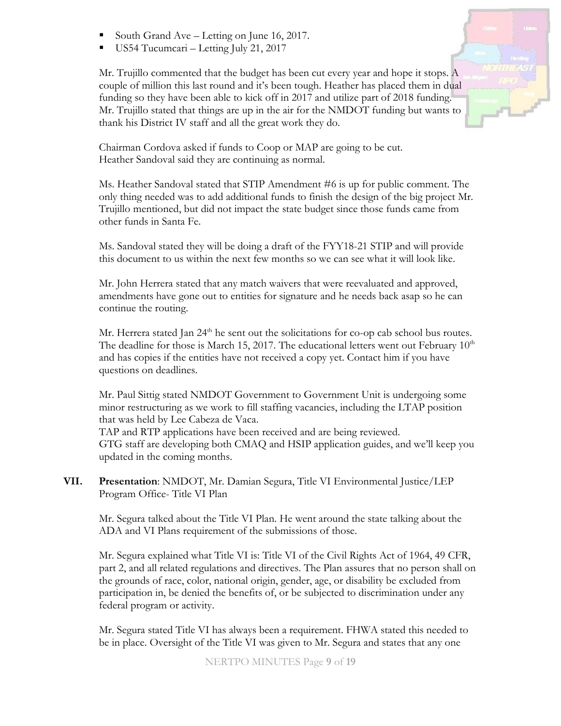- South Grand Ave Letting on June 16, 2017.
- $\blacksquare$  US54 Tucumcari Letting July 21, 2017

Mr. Trujillo commented that the budget has been cut every year and hope it stops. A couple of million this last round and it's been tough. Heather has placed them in dual funding so they have been able to kick off in 2017 and utilize part of 2018 funding. Mr. Trujillo stated that things are up in the air for the NMDOT funding but wants to thank his District IV staff and all the great work they do.

Chairman Cordova asked if funds to Coop or MAP are going to be cut. Heather Sandoval said they are continuing as normal.

Ms. Heather Sandoval stated that STIP Amendment #6 is up for public comment. The only thing needed was to add additional funds to finish the design of the big project Mr. Trujillo mentioned, but did not impact the state budget since those funds came from other funds in Santa Fe.

Ms. Sandoval stated they will be doing a draft of the FYY18-21 STIP and will provide this document to us within the next few months so we can see what it will look like.

Mr. John Herrera stated that any match waivers that were reevaluated and approved, amendments have gone out to entities for signature and he needs back asap so he can continue the routing.

Mr. Herrera stated Jan  $24<sup>th</sup>$  he sent out the solicitations for co-op cab school bus routes. The deadline for those is March 15, 2017. The educational letters went out February  $10<sup>th</sup>$ and has copies if the entities have not received a copy yet. Contact him if you have questions on deadlines.

Mr. Paul Sittig stated NMDOT Government to Government Unit is undergoing some minor restructuring as we work to fill staffing vacancies, including the LTAP position that was held by Lee Cabeza de Vaca.

TAP and RTP applications have been received and are being reviewed. GTG staff are developing both CMAQ and HSIP application guides, and we'll keep you updated in the coming months.

**VII. Presentation**: NMDOT, Mr. Damian Segura, Title VI Environmental Justice/LEP Program Office- Title VI Plan

Mr. Segura talked about the Title VI Plan. He went around the state talking about the ADA and VI Plans requirement of the submissions of those.

Mr. Segura explained what Title VI is: Title VI of the Civil Rights Act of 1964, 49 CFR, part 2, and all related regulations and directives. The Plan assures that no person shall on the grounds of race, color, national origin, gender, age, or disability be excluded from participation in, be denied the benefits of, or be subjected to discrimination under any federal program or activity.

Mr. Segura stated Title VI has always been a requirement. FHWA stated this needed to be in place. Oversight of the Title VI was given to Mr. Segura and states that any one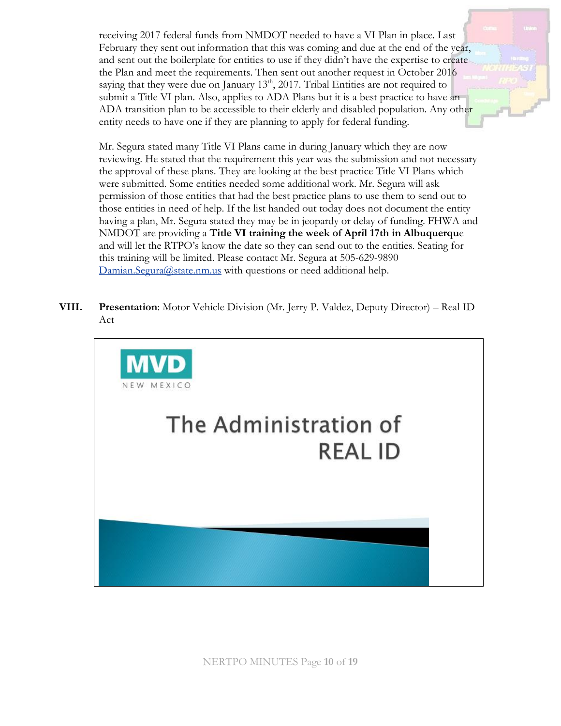receiving 2017 federal funds from NMDOT needed to have a VI Plan in place. Last February they sent out information that this was coming and due at the end of the year, and sent out the boilerplate for entities to use if they didn't have the expertise to create the Plan and meet the requirements. Then sent out another request in October 2016 saying that they were due on January  $13<sup>th</sup>$ , 2017. Tribal Entities are not required to submit a Title VI plan. Also, applies to ADA Plans but it is a best practice to have an ADA transition plan to be accessible to their elderly and disabled population. Any other entity needs to have one if they are planning to apply for federal funding.

Mr. Segura stated many Title VI Plans came in during January which they are now reviewing. He stated that the requirement this year was the submission and not necessary the approval of these plans. They are looking at the best practice Title VI Plans which were submitted. Some entities needed some additional work. Mr. Segura will ask permission of those entities that had the best practice plans to use them to send out to those entities in need of help. If the list handed out today does not document the entity having a plan, Mr. Segura stated they may be in jeopardy or delay of funding. FHWA and NMDOT are providing a **Title VI training the week of April 17th in Albuquerqu**e and will let the RTPO's know the date so they can send out to the entities. Seating for this training will be limited. Please contact Mr. Segura at 505-629-9890 [Damian.Segura@state.nm.us](mailto:Damian.Segura@state.nm.us) with questions or need additional help.

**VIII. Presentation**: Motor Vehicle Division (Mr. Jerry P. Valdez, Deputy Director) – Real ID Act



NERTPO MINUTES Page **10** of **19**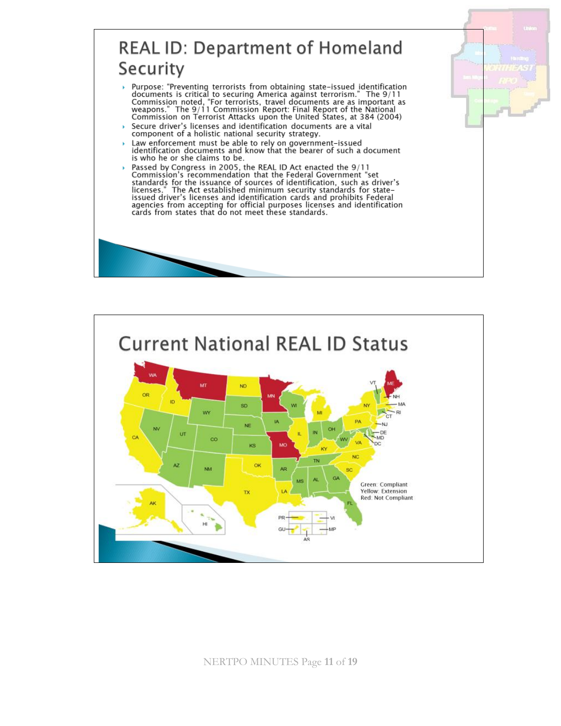# **REAL ID: Department of Homeland** Security

- Purpose: "Preventing terrorists from obtaining state-issued identification Franchise is critical to securing America against terrorism." The 9/11<br>Commission noted, "For terrorists, travel documents are as important as<br>weapons." The 9/11 Commission Report: Final Report of the National<br>Commission o
- Secure driver's licenses and identification documents are a vital component of a holistic national security strategy.
- Law enforcement must be able to rely on government-issued identification documents and know that the bearer of such a document is who he or she claims to be.
- Passed by Congress in 2005, the REAL ID Act enacted the 9/11<br>Commission's recommendation that the Federal Government "set Standards for the issuance of sources of identification, such as driver's<br>licenses." The Act established minimum security standards for state-<br>issued driver's licenses and identification cards and prohibits Federal agencies from accepting for official purposes licenses and identification cards from states that do not meet these standards.



NERTPO MINUTES Page 11 of 19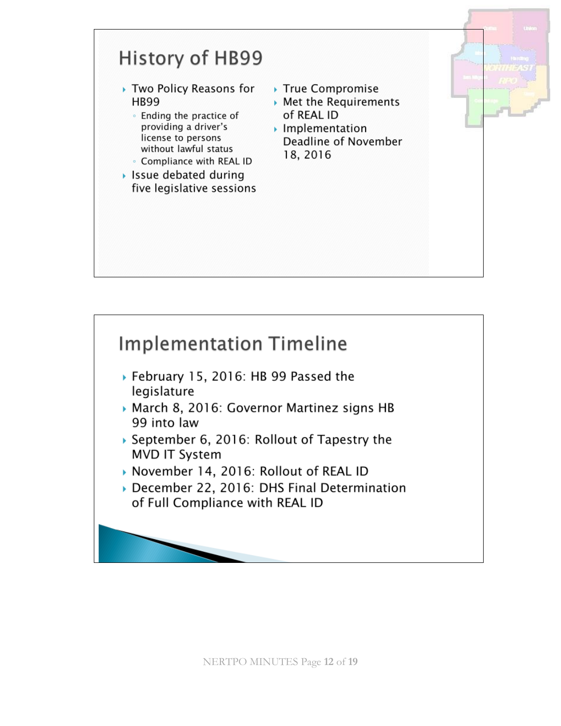

- ▶ February 15, 2016: HB 99 Passed the legislature
- March 8, 2016: Governor Martinez signs HB 99 into law
- September 6, 2016: Rollout of Tapestry the **MVD IT System**
- November 14, 2016: Rollout of REAL ID
- December 22, 2016: DHS Final Determination of Full Compliance with REAL ID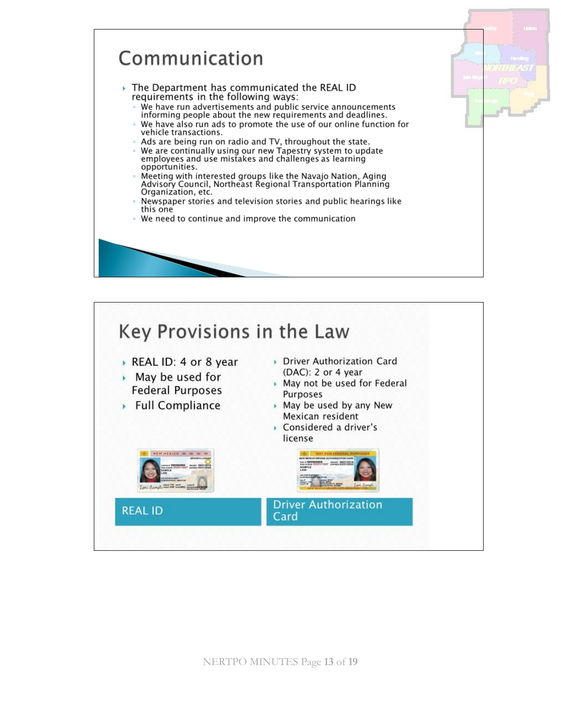

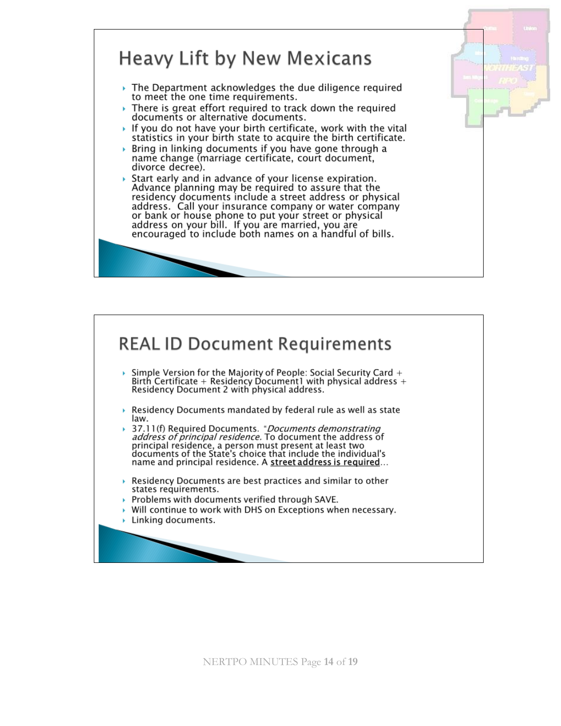



NERTPO MINUTES Page **14** of **19**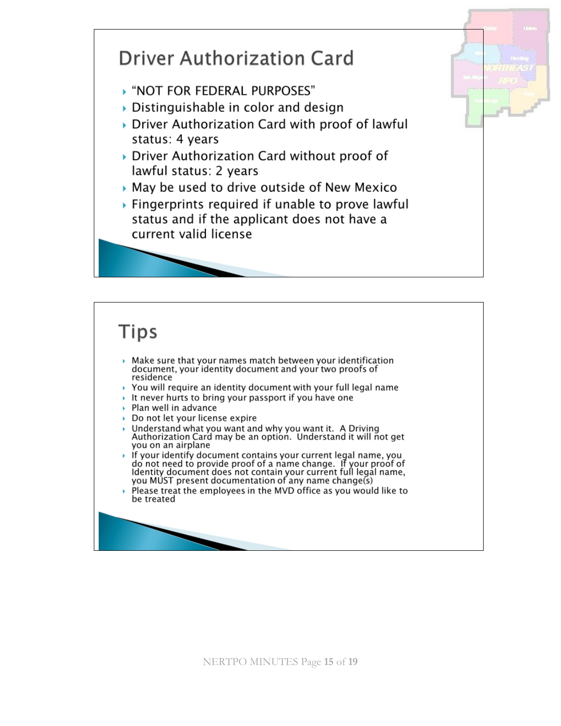

# **Tips**

- $\triangleright$  Make sure that your names match between your identification document, your identity document and your two proofs of residence
- $\rightarrow$  You will require an identity document with your full legal name
- It never hurts to bring your passport if you have one
- Plan well in advance
- Do not let your license expire
- Understand what you want and why you want it. A Driving<br>Authorization Card may be an option. Understand it will not get you on an airplane
- If your identify document contains your current legal name, you<br>do not need to provide proof of a name change. If your proof of<br>Identity document does not contain your current full legal name,<br>you MUST present documentatio
- Please treat the employees in the MVD office as you would like to be treated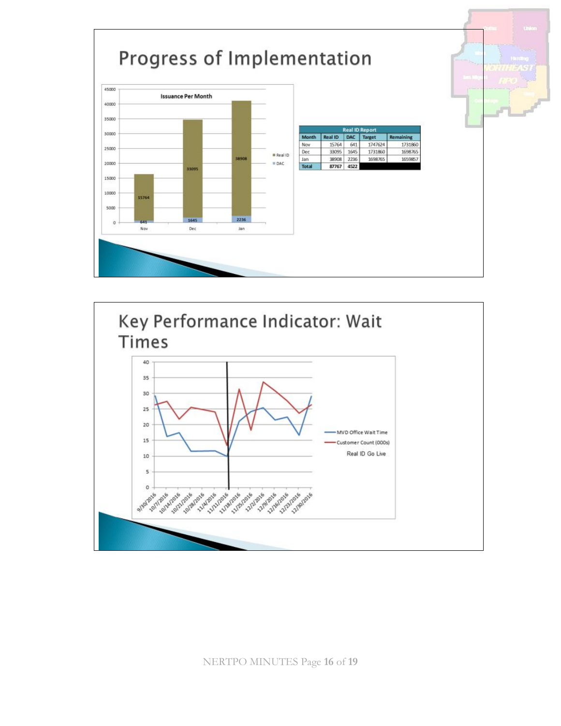



NERTPO MINUTES Page **16** of **19**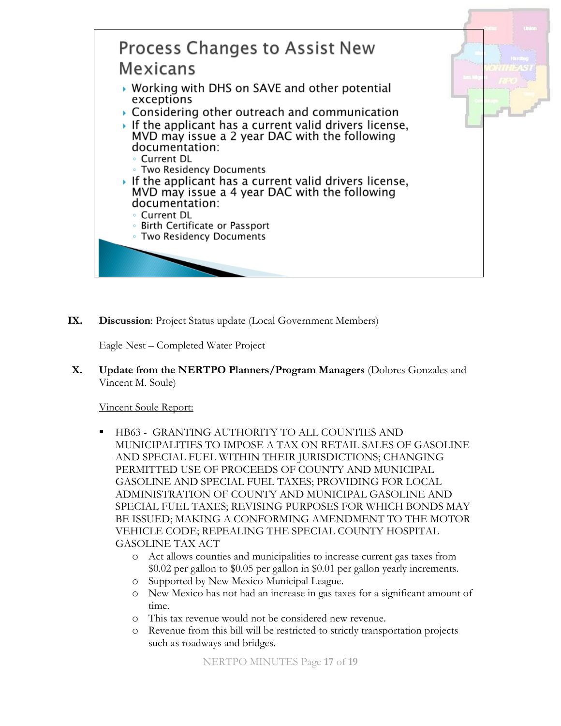

**IX. Discussion**: Project Status update (Local Government Members)

Eagle Nest – Completed Water Project

**X. Update from the NERTPO Planners/Program Managers** (Dolores Gonzales and Vincent M. Soule)

### Vincent Soule Report:

- HB63 GRANTING AUTHORITY TO ALL COUNTIES AND MUNICIPALITIES TO IMPOSE A TAX ON RETAIL SALES OF GASOLINE AND SPECIAL FUEL WITHIN THEIR JURISDICTIONS; CHANGING PERMITTED USE OF PROCEEDS OF COUNTY AND MUNICIPAL GASOLINE AND SPECIAL FUEL TAXES; PROVIDING FOR LOCAL ADMINISTRATION OF COUNTY AND MUNICIPAL GASOLINE AND SPECIAL FUEL TAXES; REVISING PURPOSES FOR WHICH BONDS MAY BE ISSUED; MAKING A CONFORMING AMENDMENT TO THE MOTOR VEHICLE CODE; REPEALING THE SPECIAL COUNTY HOSPITAL GASOLINE TAX ACT
	- o Act allows counties and municipalities to increase current gas taxes from \$0.02 per gallon to \$0.05 per gallon in \$0.01 per gallon yearly increments.
	- o Supported by New Mexico Municipal League.
	- o New Mexico has not had an increase in gas taxes for a significant amount of time.
	- o This tax revenue would not be considered new revenue.
	- o Revenue from this bill will be restricted to strictly transportation projects such as roadways and bridges.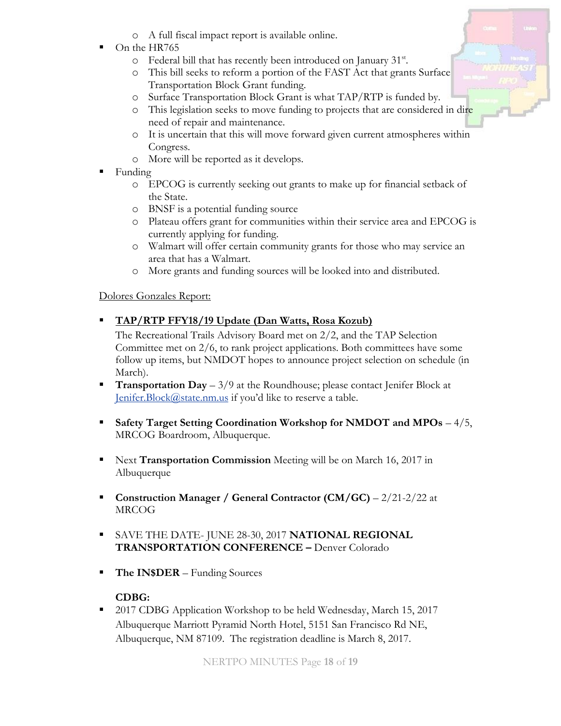- o A full fiscal impact report is available online.
- On the HR765
	- o Federal bill that has recently been introduced on January 31<sup>st</sup>.
	- o This bill seeks to reform a portion of the FAST Act that grants Surface Transportation Block Grant funding.
	- o Surface Transportation Block Grant is what TAP/RTP is funded by.
	- o This legislation seeks to move funding to projects that are considered in dire need of repair and maintenance.
	- o It is uncertain that this will move forward given current atmospheres within Congress.
	- o More will be reported as it develops.
- $\blacksquare$  Funding
	- o EPCOG is currently seeking out grants to make up for financial setback of the State.
	- o BNSF is a potential funding source
	- o Plateau offers grant for communities within their service area and EPCOG is currently applying for funding.
	- o Walmart will offer certain community grants for those who may service an area that has a Walmart.
	- o More grants and funding sources will be looked into and distributed.

# Dolores Gonzales Report:

# ▪ **TAP/RTP FFY18/19 Update (Dan Watts, Rosa Kozub)**

The Recreational Trails Advisory Board met on 2/2, and the TAP Selection Committee met on 2/6, to rank project applications. Both committees have some follow up items, but NMDOT hopes to announce project selection on schedule (in March).

- **Transportation Day**  $-3/9$  at the Roundhouse; please contact Jenifer Block at [Jenifer.Block@state.nm.us](mailto:Jenifer.Block@state.nm.us) if you'd like to reserve a table.
- Safety Target Setting Coordination Workshop for NMDOT and MPOs 4/5, MRCOG Boardroom, Albuquerque.
- Next **Transportation Commission** Meeting will be on March 16, 2017 in Albuquerque
- **Construction Manager / General Contractor (CM/GC)** 2/21-2/22 at MRCOG
- SAVE THE DATE- JUNE 28-30, 2017 **NATIONAL REGIONAL TRANSPORTATION CONFERENCE –** Denver Colorado
- **The IN\$DER** Funding Sources

# **CDBG:**

■ 2017 CDBG Application Workshop to be held Wednesday, March 15, 2017 Albuquerque Marriott Pyramid North Hotel, 5151 San Francisco Rd NE, Albuquerque, NM 87109. The registration deadline is March 8, 2017.